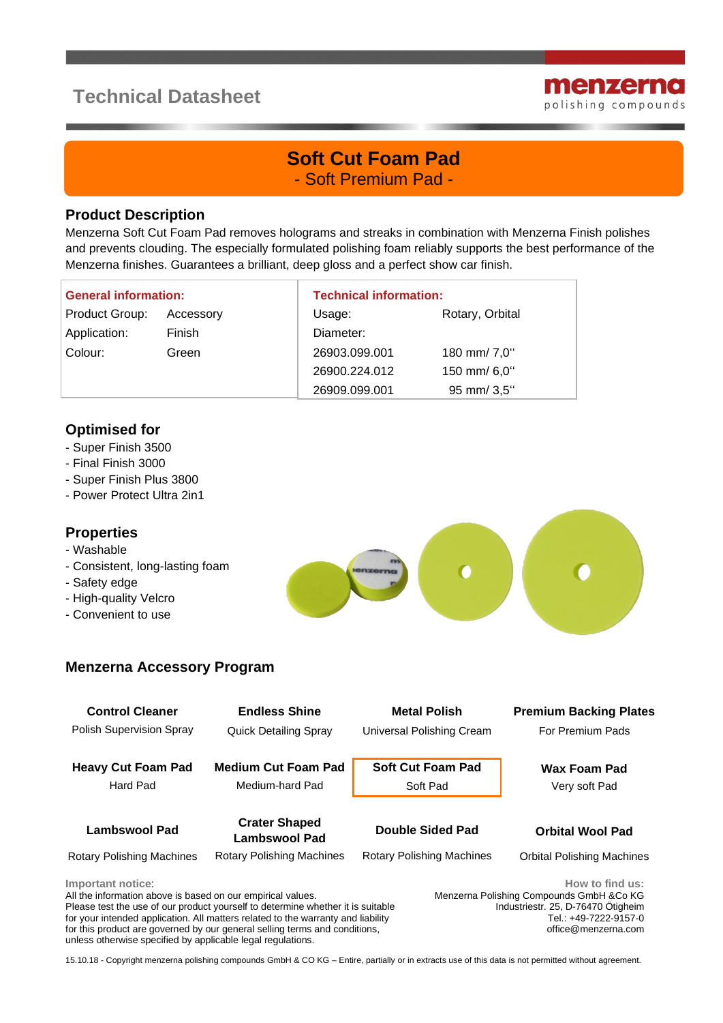# **Technical Datasheet**



## **Soft Cut Foam Pad** - Soft Premium Pad -

#### **Product Description**

Menzerna Soft Cut Foam Pad removes holograms and streaks in combination with Menzerna Finish polishes and prevents clouding. The especially formulated polishing foam reliably supports the best performance of the Menzerna finishes. Guarantees a brilliant, deep gloss and a perfect show car finish.

| <b>General information:</b> |           | <b>Technical information:</b> |                 |
|-----------------------------|-----------|-------------------------------|-----------------|
| Product Group:              | Accessory | Usage:                        | Rotary, Orbital |
| Application:                | Finish    | Diameter:                     |                 |
| Colour:                     | Green     | 26903.099.001                 | 180 mm/ 7,0"    |
|                             |           | 26900.224.012                 | 150 mm/ 6,0"    |
|                             |           | 26909.099.001                 | 95 mm/ 3,5"     |

### **Optimised for**

- Super Finish 3500
- Final Finish 3000
- Super Finish Plus 3800
- Power Protect Ultra 2in1

### **Properties**

- Washable
- Consistent, long-lasting foam
- Safety edge
- High-quality Velcro
- Convenient to use



| <b>Control Cleaner</b><br>Polish Supervision Spray                               | <b>Endless Shine</b><br><b>Quick Detailing Spray</b>                            | <b>Metal Polish</b><br>Universal Polishing Cream | <b>Premium Backing Plates</b><br>For Premium Pads                                                |
|----------------------------------------------------------------------------------|---------------------------------------------------------------------------------|--------------------------------------------------|--------------------------------------------------------------------------------------------------|
| <b>Heavy Cut Foam Pad</b><br>Hard Pad                                            | <b>Medium Cut Foam Pad</b><br>Medium-hard Pad                                   | <b>Soft Cut Foam Pad</b><br>Soft Pad             | <b>Wax Foam Pad</b><br>Very soft Pad                                                             |
| <b>Lambswool Pad</b>                                                             | <b>Crater Shaped</b><br>Lambswool Pad                                           | Double Sided Pad                                 | <b>Orbital Wool Pad</b>                                                                          |
| <b>Rotary Polishing Machines</b>                                                 | <b>Rotary Polishing Machines</b>                                                | <b>Rotary Polishing Machines</b>                 | <b>Orbital Polishing Machines</b>                                                                |
| Important notice:<br>All the information above is based on our empirical values. | Please test the use of our product vourself to determine whether it is suitable |                                                  | How to find us:<br>Menzerna Polishing Compounds GmbH & Co KG<br>Industriestr 25 D-76470 Ötigheim |

e test the use of our product yourself to determine whether it is for your intended application. All matters related to the warranty and liability for this product are governed by our general selling terms and conditions, unless otherwise specified by applicable legal regulations.

Industriestr. 25, D-76470 Ötigheim Tel.: +49-7222-9157-0 office@menzerna.com

15.10.18 - Copyright menzerna polishing compounds GmbH & CO KG – Entire, partially or in extracts use of this data is not permitted without agreement.